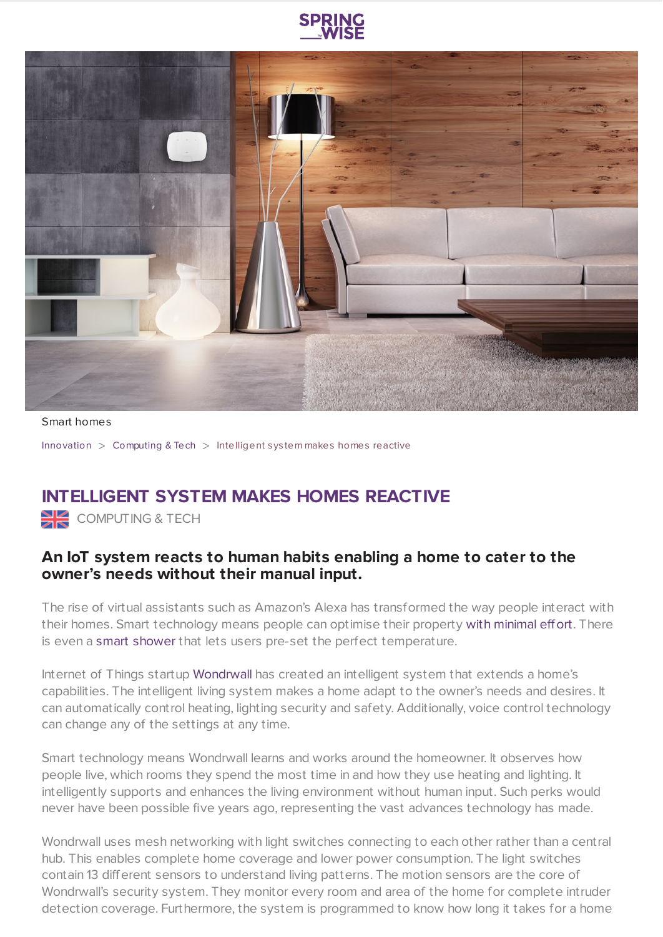



Smart homes

[Innovation](https://www.springwise.com/search?type=innovation) > [Computing](https://www.springwise.com/search?type=innovation§or=computing) & Tech > Intelligent sys tem makes homes reactive

## **INTELLIGENT SYSTEM MAKES HOMES REACTIVE**

COMPUTING & TECH

## **An IoT system reacts to human habits enabling a home to cater to the owner's needs without their manual input.**

The rise of virtual assistants such as Amazon's Alexa has transformed the way people interact with their homes. Smart technology means people can optimise their property with [minimal](https://www.springwise.com/modular-outlet-turns-home-smart-home/) effort. There is even a smart [shower](https://www.springwise.com/new-smart-shower-lets-users-pre-set-perfect-temperature/) that lets users pre-set the perfect temperature.

Internet of Things startup [Wondrwall](http://www.wondrwall.co.uk/) has created an intelligent system that extends a home's capabilities. The intelligent living system makes a home adapt to the owner's needs and desires. It can automatically control heating, lighting security and safety. Additionally, voice control technology can change any of the settings at any time.

Smart technology means Wondrwall learns and works around the homeowner. It observes how people live, which rooms they spend the most time in and how they use heating and lighting. It intelligently supports and enhances the living environment without human input. Such perks would never have been possible five years ago, representing the vast advances technology has made.

Wondrwall uses mesh networking with light switches connecting to each other rather than a central hub. This enables complete home coverage and lower power consumption. The light switches contain 13 different sensors to understand living patterns. The motion sensors are the core of Wondrwall's security system. They monitor every room and area of the home for complete intruder detection coverage. Furthermore, the system is programmed to know how long it takes for a home